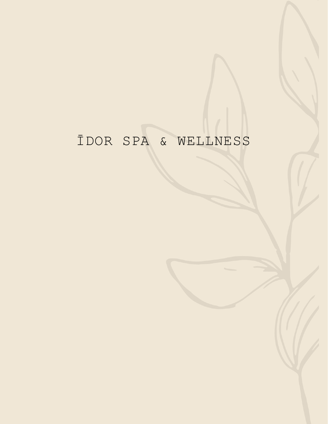# ĪDOR SPA & WELLNESS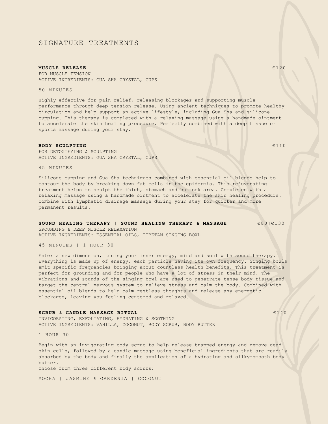## SIGNATURE TREATMENTS

#### **MUSCLE RELEASE**  $\epsilon$ 120

FOR MUSCLE TENSION ACTIVE INGREDIENTS: GUA SHA CRYSTAL, CUPS

50 MINUTES

Highly effective for pain relief, releasing blockages and supporting muscle performance through deep tension release. Using ancient techniques to promote healthy circulation and help support an active lifestyle, including Gua Sha and silicone cupping. This therapy is completed with a relaxing massage using a handmade ointment to accelerate the skin healing procedure. Perfectly combined with a deep tissue or sports massage during your stay.

#### **BODY SCULPTING**  $6110$

FOR DETOXIFYING & SCULPTING ACTIVE INGREDIENTS: GUA SHA CRYSTAL, CUPS

45 MINUTES

Silicone cupping and Gua Sha techniques combined with essential oil blends help to contour the body by breaking down fat cells in the epidermis. This rejuvenating treatment helps to sculpt the thigh, stomach and buttock area. Completed with a relaxing massage using a handmade ointment to accelerate the skin healing procedure. Combine with lymphatic drainage massage during your stay for quicker and more permanent results.

## **SOUND HEALING THERAPY** | **SOUND HEALING THERAPY & MASSAGE** €80|€130

ACTIVE INGREDIENTS: ESSENTIAL OILS, TIBETAN SINGING BOWL

45 MINUTES | 1 HOUR 30

GROUNDING & DEEP MUSCLE RELAXATION

Enter a new dimension, tuning your inner energy, mind and soul with sound therapy. Everything is made up of energy, each particle having its own frequency. Singing bowls emit specific frequencies bringing about countless health benefits. This treatment is perfect for grounding and for people who have a lot of stress in their mind. The vibrations and sounds of the singing bowl are used to penetrate tense body tissue and target the central nervous system to relieve stress and calm the body. Combined with essential oil blends to help calm restless thoughts and release any energetic blockages, leaving you feeling centered and relaxed.

#### **SCRUB & CANDLE MASSAGE RITUAL EXAMPLE 140**

INVIGORATING, EXFOLIATING, HYDRATING & SOOTHING ACTIVE INGREDIENTS: VANILLA, COCONUT, BODY SCRUB, BODY BUTTER

1 HOUR 30

Begin with an invigorating body scrub to help release trapped energy and remove dead skin cells, followed by a candle massage using beneficial ingredients that are readily absorbed by the body and finally the application of a hydrating and silky-smooth body butter.

Choose from three different body scrubs:

MOCHA | JASMINE & GARDENIA | COCONUT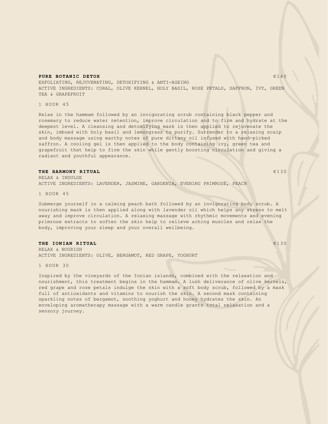#### **PURE BOTANIC DETOX**  $6140$

EXFOLIATING, REJUVENATING, DETOXIFYING & ANTI-AGEING ACTIVE INGREDIENTS: CORAL, OLIVE KERNEL, HOLY BASIL, ROSE PETALS, SAFFRON, IVY, GREEN TEA & GRAPEFRUIT

1 HOUR 45

Relax in the hammam followed by an invigorating scrub containing black pepper and rosemary to reduce water retention, improve circulation and to firm and hydrate at the deepest level. A cleansing and detoxifying mask is then applied to rejuvenate the skin, imbued with holy basil and lemongrass to purify. Surrender to a relaxing scalp and body massage using earthy notes of pure dittany oil infused with hand-picked saffron. A cooling gel is then applied to the body containing ivy, green tea and grapefruit that help to firm the skin while gently boosting circulation and giving a radiant and youthful appearance.

#### **THE HARMONY RITUAL** €13 0

RELAX & INDULGE ACTIVE INGREDIENTS: LAVENDER, JASMINE, GARDENIA, EVENING PRIMROSE, PEACH

1 HOUR 45

Submerge yourself in a calming peach bath followed by an invigorating body scrub. A nourishing mask is then applied along with lavender oil which helps any stress to melt away and improve circulation. A relaxing massage with rhythmic movements and evening primrose extracts to soften the skin help to relieve aching muscles and relax the body, improving your sleep and your overall wellbeing.

#### **THE IONIAN RITUAL** €130

RELAX & NOURISH ACTIVE INGREDIENTS: OLIVE, BERGAMOT, RED GRAPE, YOGHURT

1 HOUR 30

Inspired by the vineyards of the Ionian islands, combined with the relaxation and nourishment, this treatment begins in the hammam. A lush deliverance of olive kernels, red grape and rose petals indulge the skin with a soft body scrub, followed by a mask full of antioxidants and vitamins to nourish the skin. A second mask containing sparkling notes of bergamot, soothing yoghurt and honey hydrates the skin. An enveloping aromatherapy massage with a warm candle grants total relaxation and a sensory journey.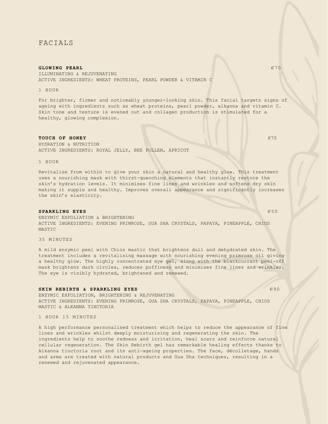## FACIALS

#### **GLOWING PEARL EXECUTIVE CONSUMING PEARL EXECUTIVE CONSUMING PEARL**

ILLUMINATING & REJUVENATING ACTIVE INGREDIENTS: WHEAT PROTEINS, PEARL POWDER & VITAMIN C

1 HOUR

For brighter, firmer and noticeably younger-looking skin. This facial targets signs of ageing with ingredients such as wheat proteins, pearl powder, alkanna and vitamin C. Skin tone and texture is evened out and collagen production is stimulated for a healthy, glowing complexion.

#### **TOUCH OF HONEY EXECUTES EXECUTE 2018**

HYDRATION & NUTRITION ACTIVE INGREDIENTS: ROYAL JELLY, BEE POLLEN, APRICOT

1 HOUR

Revitalise from within to give your skin a natural and healthy glow. This treatment uses a nourishing mask with thirst-quenching elements that instantly restore the skin's hydration levels. It minimises fine lines and wrinkles and softens dry skin making it supple and healthy. Improves overall appearance and significantly increases the skin's elasticity.

#### **SPARKLING EYES EXECUTE:**  $650$

ENZYMIC EXFOLIATION & BRIGHTENING ACTIVE INGREDIENTS: EVENING PRIMROSE, GUA SHA CRYSTALS, PAPAYA, PINEAPPLE, CHIOS MASTIC

35 MINUTES

A mild enzymic peel with Chios mastic that brightens dull and dehydrated skin. The treatment includes a revitalising massage with nourishing evening primrose oil giving a healthy glow. The highly concentrated eye gel, along with the blackcurrant peel-off mask brightens dark circles, reduces puffiness and minimises fine lines and wrinkles. The eye is visibly hydrated, brightened and renewed.

#### **SKIN REBIRTH & SPARKLING EYES 690**

ENZYMIC EXFOLIATION, BRIGHTENING & REJUVENATING ACTIVE INGREDIENTS: EVENING PRIMROSE, GUA SHA CRYSTALS, PAPAYA, PINEAPPLE, CHIOS MASTIC & ALKANNA TINCTORIA

1 HOUR 15 MINUTES

A high performance personalised treatment which helps to reduce the appearance of fine lines and wrinkles whilst deeply moisturising and regenerating the skin. The ingredients help to soothe redness and irritation, heal scars and reinforce natural cellular regeneration. The Skin Rebirth gel has remarkable healing effects thanks to Alkanna tinctoria root and its anti-ageing properties. The face, décolletage, hands and arms are treated with natural products and Gua Sha techniques, resulting in a renewed and rejuvenated appearance.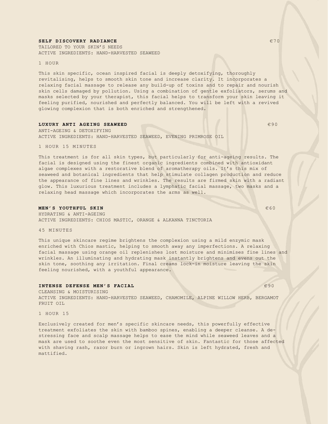#### **SELF DISCOVERY RADIANCE EXECUTE AND INCLUSIVE ASSESSMENT OF A SECOND FINITE CONTROL**

TAILORED TO YOUR SKIN'S NEEDS ACTIVE INGREDIENTS: HAND-HARVESTED SEAWEED

1 HOUR

This skin specific, ocean inspired facial is deeply detoxifying, thoroughly revitalising, helps to smooth skin tone and increase clarity. It incorporates a relaxing facial massage to release any build-up of toxins and to repair and nourish skin cells damaged by pollution. Using a combination of gentle exfoliators, serums and masks selected by your therapist, this facial helps to transform your skin leaving it feeling purified, nourished and perfectly balanced. You will be left with a revived glowing complexion that is both enriched and strengthened.

#### **LUXURY ANTI AGEING SEAWEED 690**

ANTI-AGEING & DETOXIFYING ACTIVE INGREDIENTS: HAND-HARVESTED SEAWEED, EVENING PRIMROSE OIL

1 HOUR 15 MINUTES

This treatment is for all skin types, but particularly for anti-ageing results. The facial is designed using the finest organic ingredients combined with antioxidant algae complexes with a restorative blend of aromatherapy oils. It's this mix of seaweed and botanical ingredients that help stimulate collagen production and reduce the appearance of fine lines and wrinkles. The results are firmed skin with a radiant glow. This luxurious treatment includes a lymphatic facial massage, two masks and a relaxing head massage which incorporates the arms as well.

#### **MEN'S YOUTHFUL SKIN** €60

HYDRATING & ANTI-AGEING ACTIVE INGREDIENTS: CHIOS MASTIC, ORANGE & ALKANNA TINCTORIA

45 MINUTES

This unique skincare regime brightens the complexion using a mild enzymic mask enriched with Chios mastic, helping to smooth away any imperfections. A relaxing facial massage using orange oil replenishes lost moisture and minimises fine lines and wrinkles. An illuminating and hydrating mask instantly brightens and evens out the skin tone, soothing any irritation. Final creams lock-in moisture leaving the skin feeling nourished, with a youthful appearance.

#### **INTENSE DEFENSE MEN'S FACIAL** €90

CLEANSING & MOISTURISING ACTIVE INGREDIENTS: HAND-HARVESTED SEAWEED, CHAMOMILE, ALPINE WILLOW HERB, BERGAMOT FRUIT OIL

1 HOUR 15

Exclusively created for men's specific skincare needs, this powerfully effective treatment exfoliates the skin with bamboo spines, enabling a deeper cleanse. A destressing face and scalp massage helps to ease the mind while seaweed leaves and a mask are used to soothe even the most sensitive of skin. Fantastic for those affected with shaving rash, razor burn or ingrown hairs. Skin is left hydrated, fresh and mattified.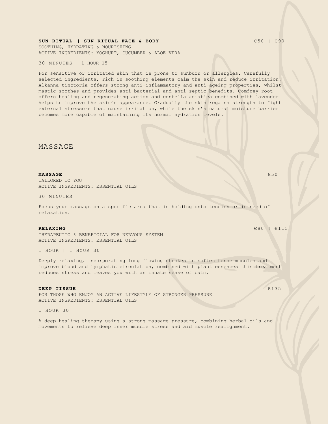#### **SUN RITUAL | SUN RITUAL FACE & BODY**  $650 + 690$

SOOTHING, HYDRATING & NOURISHING ACTIVE INGREDIENTS: YOGHURT, CUCUMBER & ALOE VERA

30 MINUTES | 1 HOUR 15

For sensitive or irritated skin that is prone to sunburn or allergies. Carefully selected ingredients, rich in soothing elements calm the skin and reduce irritation. Alkanna tinctoria offers strong anti-inflammatory and anti-ageing properties, whilst mastic soothes and provides anti-bacterial and anti-septic benefits. Comfrey root offers healing and regenerating action and centella asiatica combined with lavender helps to improve the skin's appearance. Gradually the skin regains strength to fight external stressors that cause irritation, while the skin's natural moisture barrier becomes more capable of maintaining its normal hydration levels.

MASSAGE

#### **MASSAGE**  $\epsilon$ 50

TAILORED TO YOU ACTIVE INGREDIENTS: ESSENTIAL OILS

30 MINUTES

Focus your massage on a specific area that is holding onto tension or in need of relaxation.

#### **RELAXING**  $\epsilon$ 80 |  $\epsilon$ 115

THERAPEUTIC & BENEFICIAL FOR NERVOUS SYSTEM ACTIVE INGREDIENTS: ESSENTIAL OILS

1 HOUR | 1 HOUR 30

Deeply relaxing, incorporating long flowing strokes to soften tense muscles and improve blood and lymphatic circulation, combined with plant essences this treatment reduces stress and leaves you with an innate sense of calm.

#### **DEEP TISSUE**  $\epsilon$ <sup>135</sup>

FOR THOSE WHO ENJOY AN ACTIVE LIFESTYLE OF STRONGER PRESSURE ACTIVE INGREDIENTS: ESSENTIAL OILS

1 HOUR 30

A deep healing therapy using a strong massage pressure, combining herbal oils and movements to relieve deep inner muscle stress and aid muscle realignment.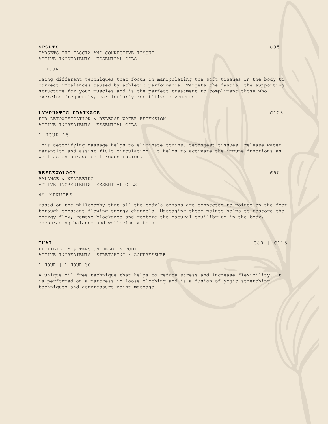#### **SPORTS** €95

TARGETS THE FASCIA AND CONNECTIVE TISSUE ACTIVE INGREDIENTS: ESSENTIAL OILS

1 HOUR

Using different techniques that focus on manipulating the soft tissues in the body to correct imbalances caused by athletic performance. Targets the fascia, the supporting structure for your muscles and is the perfect treatment to compliment those who exercise frequently, particularly repetitive movements.

#### **LYMPHATIC DRAINAGE**  $6125$

FOR DETOXIFICATION & RELEASE WATER RETENSION ACTIVE INGREDIENTS: ESSENTIAL OILS

1 HOUR 15

This detoxifying massage helps to eliminate toxins, decongest tissues, release water retention and assist fluid circulation. It helps to activate the immune functions as well as encourage cell regeneration.

#### **REFLEXOLOGY** €90

BALANCE & WELLBEING ACTIVE INGREDIENTS: ESSENTIAL OILS

45 MINUTES

Based on the philosophy that all the body's organs are connected to points on the feet through constant flowing energy channels. Massaging these points helps to restore the energy flow, remove blockages and restore the natural equilibrium in the body, encouraging balance and wellbeing within.

FLEXIBILITY & TENSION HELD IN BODY ACTIVE INGREDIENTS: STRETCHING & ACUPRESSURE

1 HOUR | 1 HOUR 30

A unique oil-free technique that helps to reduce stress and increase flexibility. It is performed on a mattress in loose clothing and is a fusion of yogic stretching techniques and acupressure point massage.

**THAI**  $\epsilon$ 80 |  $\epsilon$ 115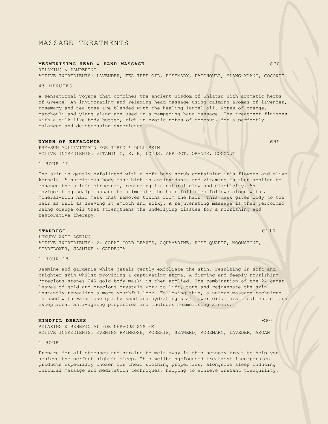## MASSAGE TREATMENTS

#### **MESMERISING HEAD & HAND MASSAGE EXECUTES AND MASSAGE EXECUTIVE STATE**

RELAXING & PAMPERING ACTIVE INGREDIENTS: LAVENDER, TEA TREE OIL, ROSEMARY, PATCHOULI, YLANG-YLANG, COCONUT

45 MINUTES

A sensational voyage that combines the ancient wisdom of Shiatsu with aromatic herbs of Greece. An invigorating and relaxing head massage using calming aromas of lavender, rosemary and tea tree are blended with the healing laurel oil. Notes of orange, patchouli and ylang-ylang are used in a pampering hand massage. The treatment finishes with a silk-like body butter, rich in exotic notes of coconut, for a perfectly balanced and de-stressing experience.

#### **NYMPH OF KEFALONIA**  $\epsilon$ 95

PRE-SUN MULTIVITAMIN FOR TIRED & DULL SKIN ACTIVE INGREDIENTS: VITAMIN C, E, B, LOTUS, APRICOT, ORANGE, COCONUT

1 HOUR 15

The skin is gently exfoliated with a soft body scrub containing iris flowers and olive kernels. A nutritious body mask high in antioxidants and vitamins is then applied to enhance the skin's structure, restoring its natural glow and elasticity. An invigorating scalp massage to stimulate the hair follicles follows along with a mineral-rich hair mask that removes toxins from the hair. This mask gives body to the hair as well as leaving it smooth and silky. A rejuvenating massage is then performed using orange oil that strengthens the underlying tissues for a nourishing and restorative therapy.

#### **STARDUST** €110

LUXURY ANTI-AGEING ACTIVE INGREDIENTS: 24 CARAT GOLD LEAVES, AQUAMARINE, ROSE QUARTZ, MOONSTONE, STARFLOWER, JASMINE & GARDENIA

1 HOUR 15

Jasmine and gardenia white petals gently exfoliate the skin, resulting in soft and brighter skin whilst providing a captivating aroma. A firming and deeply nourishing 'precious stones 24K gold body mask' is then applied. The combination of the 24 carat leaves of gold and precious crystals work to lift, tone and rejuvenate the skin instantly revealing a more youthful look. Following this, a unique massage technique is used with warm rose quartz sand and hydrating starflower oil. This treatment offers exceptional anti-ageing properties and includes mesmerising aromas.

#### **MINDFUL DREAMS** €80

RELAXING & BENEFICIAL FOR NERVOUS SYSTEM ACTIVE INGREDIENTS: EVENING PRIMROSE, ROSEHIP, SEAWEED, ROSEMARY, LAVEDER, ARGAN

1 HOUR

Prepare for all stresses and strains to melt away in this sensory treat to help you achieve the perfect night's sleep. This wellbeing-focused treatment incorporates products especially chosen for their soothing properties, alongside sleep inducing cultural massage and meditation techniques, helping to achieve instant tranquility.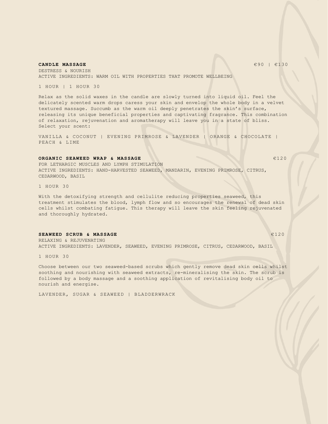**CANDLE MASSAGE**  $\epsilon$ 90 |  $\epsilon$ 130

DESTRESS & NOURISH ACTIVE INGREDIENTS: WARM OIL WITH PROPERTIES THAT PROMOTE WELLBEING

1 HOUR | 1 HOUR 30

Relax as the solid waxes in the candle are slowly turned into liquid oil. Feel the delicately scented warm drops caress your skin and envelop the whole body in a velvet textured massage. Succumb as the warm oil deeply penetrates the skin's surface, releasing its unique beneficial properties and captivating fragrance. This combination of relaxation, rejuvenation and aromatherapy will leave you in a state of bliss. Select your scent:

VANILLA & COCONUT | EVENING PRIMROSE & LAVENDER | ORANGE & CHOCOLATE | PEACH & LIME

#### **ORGANIC SEAWEED WRAP & MASSAGE 6 6120 6120**

FOR LETHARGIC MUSCLES AND LYMPH STIMULATION ACTIVE INGREDIENTS: HAND-HARVESTED SEAWEED, MANDARIN, EVENING PRIMROSE, CITRUS, CEDARWOOD, BASIL

1 HOUR 30

With the detoxifying strength and cellulite reducing properties seaweed, this treatment stimulates the blood, lymph flow and so encourages the renewal of dead skin cells whilst combating fatigue. This therapy will leave the skin feeling rejuvenated and thoroughly hydrated.

#### **SEAWEED SCRUB & MASSAGE Example 20120 EXAMPLE 20120**

RELAXING & REJUVENATING ACTIVE INGREDIENTS: LAVENDER, SEAWEED, EVENING PRIMROSE, CITRUS, CEDARWOOD, BASIL

1 HOUR 30

Choose between our two seaweed-based scrubs which gently remove dead skin cells whilst soothing and nourishing with seaweed extracts, re-mineralising the skin. The scrub is followed by a body massage and a soothing application of revitalising body oil to nourish and energise.

LAVENDER, SUGAR & SEAWEED | BLADDERWRACK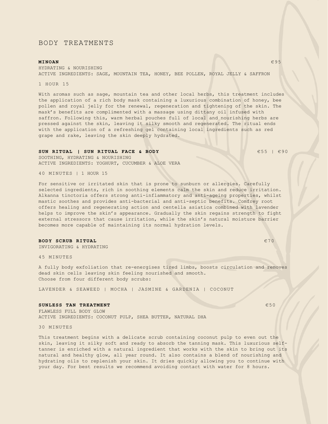## BODY TREATMENTS

#### **MINOAN** €95

HYDRATING & NOURISHING ACTIVE INGREDIENTS: SAGE, MOUNTAIN TEA, HONEY, BEE POLLEN, ROYAL JELLY & SAFFRON

#### 1 HOUR 15

With aromas such as sage, mountain tea and other local herbs, this treatment includes the application of a rich body mask containing a luxurious combination of honey, bee pollen and royal jelly for the renewal, regeneration and tightening of the skin. The mask's benefits are complimented with a massage using dittany oil infused with saffron. Following this, warm herbal pouches full of local and nourishing herbs are pressed against the skin, leaving it silky smooth and regenerated. The ritual ends with the application of a refreshing gel containing local ingredients such as red grape and rake, leaving the skin deeply hydrated.

#### **SUN RITUAL | SUN RITUAL FACE & BODY ESS |**  $\epsilon$ **90**

SOOTHING, HYDRATING & NOURISHING ACTIVE INGREDIENTS: YOGHURT, CUCUMBER & ALOE VERA

40 MINUTES | 1 HOUR 15

For sensitive or irritated skin that is prone to sunburn or allergies. Carefully selected ingredients, rich in soothing elements calm the skin and reduce irritation. Alkanna tinctoria offers strong anti-inflammatory and anti-ageing properties, whilst mastic soothes and provides anti-bacterial and anti-septic benefits. Comfrey root offers healing and regenerating action and centella asiatica combined with lavender helps to improve the skin's appearance. Gradually the skin regains strength to fight external stressors that cause irritation, while the skin's natural moisture barrier becomes more capable of maintaining its normal hydration levels.

#### **BODY SCRUB RITUAL**  $\epsilon$ 70

INVIGORATING & HYDRATING

45 MINUTES

A fully body exfoliation that re-energises tired limbs, boosts circulation and removes dead skin cells leaving skin feeling nourished and smooth. Choose from four different body scrubs:

LAVENDER & SEAWEED | MOCHA | JASMINE & GARDENIA | COCONUT

#### **SUNLESS TAN TREATMENT**  $650$

FLAWLESS FULL BODY GLOW ACTIVE INGREDIENTS: COCONUT PULP, SHEA BUTTER, NATURAL DHA

30 MINUTES

This treatment begins with a delicate scrub containing coconut pulp to even out the skin, leaving it silky soft and ready to absorb the tanning mask. This luxurious selftanner is enriched with a natural ingredient that works with the skin to bring out its natural and healthy glow, all year round. It also contains a blend of nourishing and hydrating oils to replenish your skin. It dries quickly allowing you to continue with your day. For best results we recommend avoiding contact with water for 8 hours.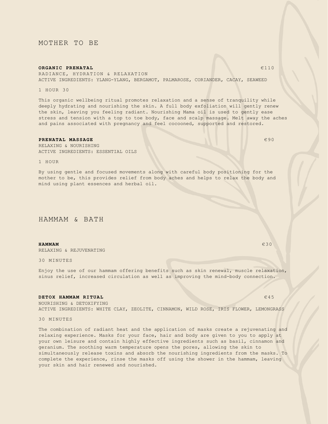## MOTHER TO BE

#### **ORGANIC PRENATAL**  $\epsilon$ 110

RADIANCE, HYDRATION & RELAXATION ACTIVE INGREDIENTS: YLANG-YLANG, BERGAMOT, PALMAROSE, CORIANDER, CACAY, SEAWEED

1 HOUR 30

This organic wellbeing ritual promotes relaxation and a sense of tranquility while deeply hydrating and nourishing the skin. A full body exfoliation will gently renew the skin, leaving you feeling radiant. Nourishing Mama oil is used to gently ease stress and tension with a top to toe body, face and scalp massage. Melt away the aches and pains associated with pregnancy and feel cocooned, supported and restored.

#### **PRENATAL MASSAGE**  $\epsilon$ 90

RELAXING & NOURISHING ACTIVE INGREDIENTS: ESSENTIAL OILS

1 HOUR

By using gentle and focused movements along with careful body positioning for the mother to be, this provides relief from body aches and helps to relax the body and mind using plant essences and herbal oil.

## HAMMAM & BATH

#### **HAMMAM** €30

RELAXING & REJUVENATING

30 MINUTES

Enjoy the use of our hammam offering benefits such as skin renewal, muscle relaxation, sinus relief, increased circulation as well as improving the mind-body connection.

#### **DETOX HAMMAM RITUAL** €45

NOURISHING & DETOXIFYING ACTIVE INGREDIENTS: WHITE CLAY, ZEOLITE, CINNAMON, WILD ROSE, IRIS FLOWER, LEMONGRASS

30 MINUTES

The combination of radiant heat and the application of masks create a rejuvenating and relaxing experience. Masks for your face, hair and body are given to you to apply at your own leisure and contain highly effective ingredients such as basil, cinnamon and geranium. The soothing warm temperature opens the pores, allowing the skin to simultaneously release toxins and absorb the nourishing ingredients from the masks. To complete the experience, rinse the masks off using the shower in the hammam, leaving your skin and hair renewed and nourished.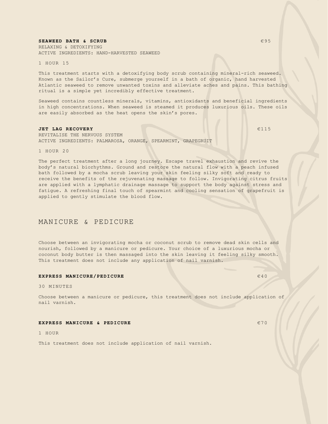#### **SEAWEED BATH & SCRUB Example 2008 CONSUMING A SCRUB**

RELAXING & DETOXIFYING ACTIVE INGREDIENTS: HAND-HARVESTED SEAWEED

1 HOUR 15

This treatment starts with a detoxifying body scrub containing mineral-rich seaweed. Known as the Sailor's Cure, submerge yourself in a bath of organic, hand harvested Atlantic seaweed to remove unwanted toxins and alleviate aches and pains. This bathing ritual is a simple yet incredibly effective treatment.

Seaweed contains countless minerals, vitamins, antioxidants and beneficial ingredients in high concentrations. When seaweed is steamed it produces luxurious oils. These oils are easily absorbed as the heat opens the skin's pores.

#### **JET LAG RECOVERY** €115

REVITALISE THE NERVOUS SYSTEM ACTIVE INGREDIENTS: PALMAROSA, ORANGE, SPEARMINT, GRAPEGRUIT

1 HOUR 20

The perfect treatment after a long journey. Escape travel exhaustion and revive the body's natural biorhythms. Ground and restore the natural flow with a peach infused bath followed by a mocha scrub leaving your skin feeling silky soft and ready to receive the benefits of the rejuvenating massage to follow. Invigorating citrus fruits are applied with a lymphatic drainage massage to support the body against stress and fatigue. A refreshing final touch of spearmint and cooling sensation of grapefruit is applied to gently stimulate the blood flow.

## MANICURE & PEDICURE

Choose between an invigorating mocha or coconut scrub to remove dead skin cells and nourish, followed by a manicure or pedicure. Your choice of a luxurious mocha or coconut body butter is then massaged into the skin leaving it feeling silky smooth. This treatment does not include any application of nail varnish.

#### **EXPRESS MANICURE/PEDICURE EXPRESS MANICURE E40**

30 MINUTES

Choose between a manicure or pedicure, this treatment does not include application of nail varnish.

#### **EXPRESS MANICURE & PEDICURE EXPRESS MANICURE EXPRESS MANICURE**

1 HOUR

This treatment does not include application of nail varnish.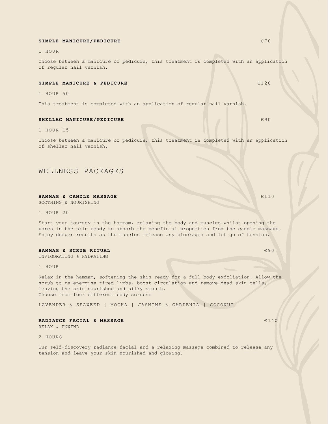#### **SIMPLE MANICURE/PEDICURE EXAMPLE MANICURE EXAMPLE MANICURE**

1 HOUR

Choose between a manicure or pedicure, this treatment is completed with an application of regular nail varnish.

#### **SIMPLE MANICURE & PEDICURE EXECUTE EXECUTE AND LOCAL CONSUMING EXAMPLE EXECUTE**

1 HOUR 50

This treatment is completed with an application of regular nail varnish.

#### **SHELLAC MANICURE/PEDICURE Example 200**

1 HOUR 15

Choose between a manicure or pedicure, this treatment is completed with an application of shellac nail varnish.

## WELLNESS PACKAGES

#### **HAMMAM & CANDLE MASSAGE E110**

SOOTHING & NOURISHING

1 HOUR 20

Start your journey in the hammam, relaxing the body and muscles whilst opening the pores in the skin ready to absorb the beneficial properties from the candle massage. Enjoy deeper results as the muscles release any blockages and let go of tension.

#### **HAMMAM & SCRUB RITUAL Example 2008**

INVIGORATING & HYDRATING

1 HOUR

Relax in the hammam, softening the skin ready for a full body exfoliation. Allow the scrub to re-energise tired limbs, boost circulation and remove dead skin cells, leaving the skin nourished and silky smooth. Choose from four different body scrubs:

LAVENDER & SEAWEED | MOCHA | JASMINE & GARDENIA | COCONUT

## **RADIANCE FACIAL & MASSAGE EXAMPLE 2140**

RELAX & UNWIND

2 HOURS

Our self-discovery radiance facial and a relaxing massage combined to release any tension and leave your skin nourished and glowing.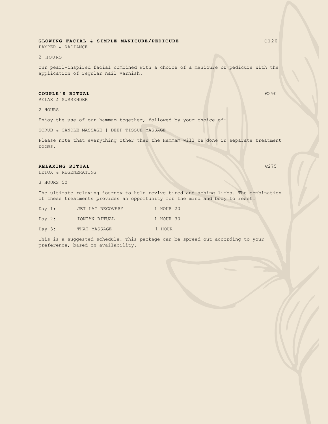## **GLOWING FACIAL & SIMPLE MANICURE/PEDICURE** €120

PAMPER & RADIANCE

2 HOURS

Our pearl-inspired facial combined with a choice of a manicure or pedicure with the application of regular nail varnish.

#### **COUPLE'S RITUAL EXECUTE:**  $\bullet$  290

RELAX & SURRENDER

2 HOURS

Enjoy the use of our hammam together, followed by your choice of:

SCRUB & CANDLE MASSAGE | DEEP TISSUE MASSAGE

Please note that everything other than the Hammam will be done in separate treatment rooms.

#### **RELAXING RITUAL** €275

DETOX & REGENERATING

3 HOURS 50

The ultimate relaxing journey to help revive tired and aching limbs. The combination of these treatments provides an opportunity for the mind and body to reset.

| Day $1:$ | JET LAG RECOVERY | 1 HOUR 20 |
|----------|------------------|-----------|
| Day $2:$ | IONIAN RITUAL    | 1 HOUR 30 |
| Day $3:$ | THAI MASSAGE     | 1 HOUR    |

This is a suggested schedule. This package can be spread out according to your preference, based on availability.